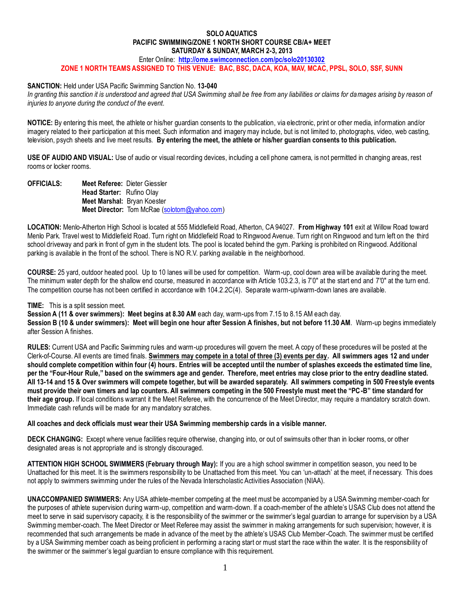## **SOLO AQUATICS PACIFIC SWIMMING/ZONE 1 NORTH SHORT COURSE CB/A+ MEET SATURDAY & SUNDAY, MARCH 2-3, 2013**

Enter Online: **<http://ome.swimconnection.com/pc/solo20130302>**

**ZONE 1 NORTH TEAMS ASSIGNED TO THIS VENUE: BAC, BSC, DACA, KOA, MAV, MCAC, PPSL, SOLO, SSF, SUNN**

## **SANCTION:** Held under USA Pacific Swimming Sanction No. **13-040**

In granting this sanction it is understood and agreed that USA Swimming shall be free from any liabilities or claims for damages arising by reason of *injuries to anyone during the conduct of the event.*

**NOTICE:** By entering this meet, the athlete or his/her guardian consents to the publication, via electronic, print or other media, information and/or imagery related to their participation at this meet. Such information and imagery may include, but is not limited to, photographs, video, web casting, television, psych sheets and live meet results. **By entering the meet, the athlete or his/her guardian consents to this publication.**

**USE OF AUDIO AND VISUAL:** Use of audio or visual recording devices, including a cell phone camera, is not permitted in changing areas, rest rooms or locker rooms.

**OFFICIALS: Meet Referee:** Dieter Giessler **Head Starter:** Rufino Olay **Meet Marshal:** Bryan Koester **Meet Director:** Tom McRae [\(solotom@yahoo.com\)](mailto:solotom@yahoo.com)

**LOCATION:** Menlo-Atherton High School is located at 555 Middlefield Road, Atherton, CA 94027. **From Highway 101** exit at Willow Road toward Menlo Park. Travel west to Middlefield Road. Turn right on Middlefield Road to Ringwood Avenue. Turn right on Ringwood and turn left on the third school driveway and park in front of gym in the student lots. The pool is located behind the gym. Parking is prohibited on Ringwood. Additional parking is available in the front of the school. There is NO R.V. parking available in the neighborhood.

**COURSE:** 25 yard, outdoor heated pool. Up to 10 lanes will be used for competition. Warm-up, cool down area will be available during the meet. The minimum water depth for the shallow end course, measured in accordance with Article 103.2.3, is 7'0" at the start end and 7'0" at the turn end. The competition course has not been certified in accordance with 104.2.2C(4). Separate warm-up/warm-down lanes are available.

## **TIME:** This is a split session meet.

**Session A (11 & over swimmers): Meet begins at 8.30 AM** each day, warm-ups from 7.15 to 8.15 AM each day.

**Session B (10 & under swimmers): Meet will begin one hour after Session A finishes, but not before 11.30 AM**. Warm-up begins immediately after Session A finishes.

**RULES:** Current USA and Pacific Swimming rules and warm-up procedures will govern the meet. A copy of these procedures will be posted at the Clerk-of-Course. All events are timed finals. **Swimmers may compete in a total of three (3) events per day. All swimmers ages 12 and under should complete competition within four (4) hours. Entries will be accepted until the number of splashes exceeds the estimated time line, per the "Four-Hour Rule," based on the swimmers age and gender. Therefore, meet entries may close prior to the entry deadline stated. All 13-14 and 15 & Over swimmers will compete together, but will be awarded separately. All swimmers competing in 500 Freestyle events must provide their own timers and lap counters. All swimmers competing in the 500 Freestyle must meet the "PC-B" time standard for their age group.** If local conditions warrant it the Meet Referee, with the concurrence of the Meet Director, may require a mandatory scratch down. Immediate cash refunds will be made for any mandatory scratches.

## **All coaches and deck officials must wear their USA Swimming membership cards in a visible manner.**

**DECK CHANGING:** Except where venue facilities require otherwise, changing into, or out of swimsuits other than in locker rooms, or other designated areas is not appropriate and is strongly discouraged.

**ATTENTION HIGH SCHOOL SWIMMERS (February through May):** If you are a high school swimmer in competition season, you need to be Unattached for this meet. It is the swimmers responsibility to be Unattached from this meet. You can 'un-attach' at the meet, if necessary. This does not apply to swimmers swimming under the rules of the Nevada Interscholastic Activities Association (NIAA).

**UNACCOMPANIED SWIMMERS:** Any USA athlete-member competing at the meet must be accompanied by a USA Swimming member-coach for the purposes of athlete supervision during warm-up, competition and warm-down. If a coach-member of the athlete's USAS Club does not attend the meet to serve in said supervisory capacity, it is the responsibility of the swimmer or the swimmer's legal guardian to arrange for supervision by a USA Swimming member-coach. The Meet Director or Meet Referee may assist the swimmer in making arrangements for such supervision; however, it is recommended that such arrangements be made in advance of the meet by the athlete's USAS Club Member-Coach. The swimmer must be certified by a USA Swimming member coach as being proficient in performing a racing start or must start the race within the water. It is the responsibility of the swimmer or the swimmer's legal guardian to ensure compliance with this requirement.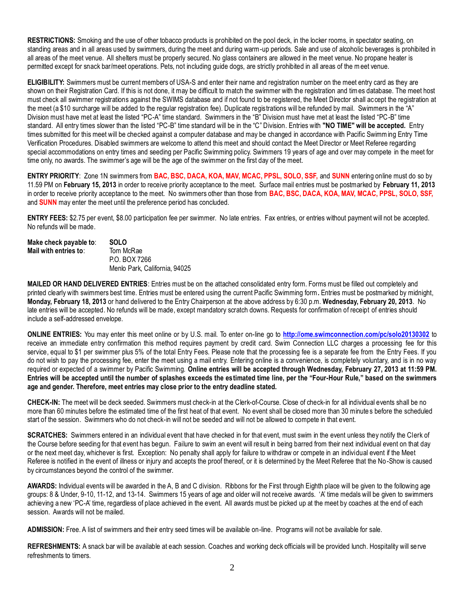**RESTRICTIONS:** Smoking and the use of other tobacco products is prohibited on the pool deck, in the locker rooms, in spectator seating, on standing areas and in all areas used by swimmers, during the meet and during warm-up periods. Sale and use of alcoholic beverages is prohibited in all areas of the meet venue. All shelters must be properly secured. No glass containers are allowed in the meet venue. No propane heater is permitted except for snack bar/meet operations. Pets, not including guide dogs, are strictly prohibited in all areas of the meet venue.

**ELIGIBILITY:** Swimmers must be current members of USA-S and enter their name and registration number on the meet entry card as they are shown on their Registration Card. If this is not done, it may be difficult to match the swimmer with the registration and times database. The meet host must check all swimmer registrations against the SWIMS database and if not found to be registered, the Meet Director shall accept the registration at the meet (a \$10 surcharge will be added to the regular registration fee). Duplicate registrations will be refunded by mail. Swimmers in the "A" Division must have met at least the listed "PC-A" time standard. Swimmers in the "B" Division must have met at least the listed "PC-B" time standard. All entry times slower than the listed "PC-B" time standard will be in the "C" Division. Entries with **"NO TIME" will be accepted.** Entry times submitted for this meet will be checked against a computer database and may be changed in accordance with Pacific Swimming Entry Time Verification Procedures. Disabled swimmers are welcome to attend this meet and should contact the Meet Director or Meet Referee regarding special accommodations on entry times and seeding per Pacific Swimming policy. Swimmers 19 years of age and over may compete in the meet for time only, no awards. The swimmer's age will be the age of the swimmer on the first day of the meet.

**ENTRY PRIORITY**: Zone 1N swimmers from **BAC, BSC, DACA, KOA, MAV, MCAC, PPSL, SOLO, SSF,** and **SUNN** entering online must do so by 11.59 PM on **February 15, 2013** in order to receive priority acceptance to the meet. Surface mail entries must be postmarked by **February 11, 2013** in order to receive priority acceptance to the meet. No swimmers other than those from **BAC, BSC, DACA, KOA, MAV, MCAC, PPSL, SOLO, SSF,**  and **SUNN** may enter the meet until the preference period has concluded.

**ENTRY FEES:** \$2.75 per event, \$8.00 participation fee per swimmer. No late entries. Fax entries, or entries without payment will not be accepted. No refunds will be made.

| Make check payable to:               | <b>SOLO</b>                   |
|--------------------------------------|-------------------------------|
| Mail with entries to: $\blacksquare$ | Tom McRae                     |
|                                      | P.O. BOX 7266                 |
|                                      | Menlo Park, California, 94025 |

**MAILED OR HAND DELIVERED ENTRIES**: Entries must be on the attached consolidated entry form. Forms must be filled out completely and printed clearly with swimmers best time. Entries must be entered using the current Pacific Swimming form**.** Entries must be postmarked by midnight, **Monday, February 18, 2013** or hand delivered to the Entry Chairperson at the above address by 6:30 p.m. **Wednesday, February 20, 2013**. No late entries will be accepted. No refunds will be made, except mandatory scratch downs. Requests for confirmation of receipt of entries should include a self-addressed envelope.

**ONLINE ENTRIES:** You may enter this meet online or by U.S. mail. To enter on-line go to **<http://ome.swimconnection.com/pc/solo20130302>** to receive an immediate entry confirmation this method requires payment by credit card. Swim Connection LLC charges a processing fee for this service, equal to \$1 per swimmer plus 5% of the total Entry Fees. Please note that the processing fee is a separate fee from the Entry Fees. If you do not wish to pay the processing fee, enter the meet using a mail entry. Entering online is a convenience, is completely voluntary, and is in no way required or expected of a swimmer by Pacific Swimming. **Online entries will be accepted through Wednesday, February 27, 2013 at 11:59 PM. Entries will be accepted until the number of splashes exceeds the estimated time line, per the "Four-Hour Rule," based on the swimmers age and gender. Therefore, meet entries may close prior to the entry deadline stated.**

**CHECK-IN:** The meet will be deck seeded. Swimmers must check-in at the Clerk-of-Course. Close of check-in for all individual events shall be no more than 60 minutes before the estimated time of the first heat of that event. No event shall be closed more than 30 minute s before the scheduled start of the session. Swimmers who do not check-in will not be seeded and will not be allowed to compete in that event.

**SCRATCHES:** Swimmers entered in an individual event that have checked in for that event, must swim in the event unless they notify the Clerk of the Course before seeding for that event has begun. Failure to swim an event will result in being barred from their next individual event on that day or the next meet day, whichever is first. Exception: No penalty shall apply for failure to withdraw or compete in an individual event if the Meet Referee is notified in the event of illness or injury and accepts the proof thereof, or it is determined by the Meet Referee that the No -Show is caused by circumstances beyond the control of the swimmer.

**AWARDS:** Individual events will be awarded in the A, B and C division. Ribbons for the First through Eighth place will be given to the following age groups: 8 & Under, 9-10, 11-12, and 13-14. Swimmers 15 years of age and older will not receive awards. 'A' time medals will be given to swimmers achieving a new 'PC-A' time, regardless of place achieved in the event. All awards must be picked up at the meet by coaches at the end of each session. Awards will not be mailed.

**ADMISSION:** Free. A list of swimmers and their entry seed times will be available on-line. Programs will not be available for sale.

**REFRESHMENTS:** A snack bar will be available at each session. Coaches and working deck officials will be provided lunch. Hospitality will serve refreshments to timers.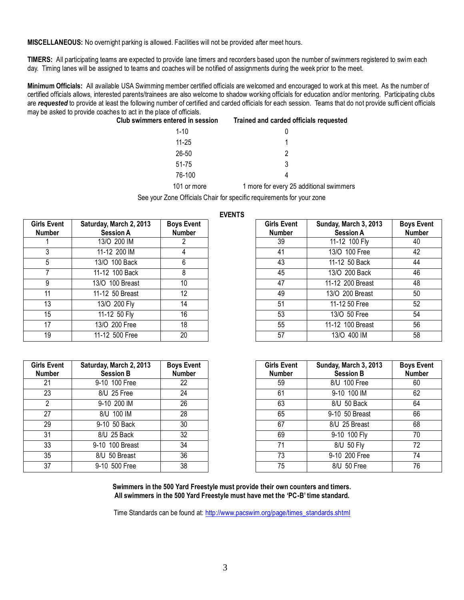**MISCELLANEOUS:** No overnight parking is allowed. Facilities will not be provided after meet hours.

**TIMERS:** All participating teams are expected to provide lane timers and recorders based upon the number of swimmers registered to swim each day. Timing lanes will be assigned to teams and coaches will be notified of assignments during the week prior to the meet.

**Minimum Officials:** All available USA Swimming member certified officials are welcomed and encouraged to work at this meet. As the number of certified officials allows, interested parents/trainees are also welcome to shadow working officials for education and/or mentoring. Participating clubs are *requested* to provide at least the following number of certified and carded officials for each session. Teams that do not provide sufficient officials may be asked to provide coaches to act in the place of officials.

| Club swimmers entered in session | Trained and carded officials requested  |
|----------------------------------|-----------------------------------------|
| $1 - 10$                         |                                         |
| $11 - 25$                        |                                         |
| 26-50                            | 2                                       |
| 51-75                            | 3                                       |
| 76-100                           | 4                                       |
| 101 or more                      | 1 more for every 25 additional swimmers |

See your Zone Officials Chair for specific requirements for your zone

| <b>Girls Event</b><br><b>Number</b> | Saturday, March 2, 2013<br><b>Session A</b> | <b>Boys Event</b><br><b>Number</b> |
|-------------------------------------|---------------------------------------------|------------------------------------|
|                                     | 13/O 200 IM                                 | 2                                  |
| 3                                   | 11-12 200 IM                                | 4                                  |
| 5                                   | 13/0 100 Back                               | 6                                  |
| 7                                   | 11-12 100 Back                              | 8                                  |
| 9                                   | 13/0 100 Breast                             | 10                                 |
| 11                                  | 11-12 50 Breast                             | 12                                 |
| 13                                  | 13/O 200 Fly                                | 14                                 |
| 15                                  | 11-12 50 Fly                                | 16                                 |
| 17                                  | 13/O 200 Free                               | 18                                 |
| 19                                  | 11-12 500 Free                              | 20                                 |

**Girls Event Number**

|                |                                             |                                    | ------                              |                                           |                                    |
|----------------|---------------------------------------------|------------------------------------|-------------------------------------|-------------------------------------------|------------------------------------|
| Event<br>mber  | Saturday, March 2, 2013<br><b>Session A</b> | <b>Boys Event</b><br><b>Number</b> | <b>Girls Event</b><br><b>Number</b> | Sunday, March 3, 2013<br><b>Session A</b> | <b>Boys Event</b><br><b>Number</b> |
|                | 13/O 200 IM                                 |                                    | 39                                  | 11-12 100 Fly                             | 40                                 |
| 3              | 11-12 200 IM                                |                                    | 41                                  | 13/O 100 Free                             | 42                                 |
| $\overline{5}$ | 13/0 100 Back                               | 6                                  | 43                                  | 11-12 50 Back                             | 44                                 |
| $\overline{7}$ | 11-12 100 Back                              | 8                                  | 45                                  | 13/O 200 Back                             | 46                                 |
| 9              | 13/0 100 Breast                             | 10                                 | 47                                  | 11-12 200 Breast                          | 48                                 |
| 11             | 11-12 50 Breast                             | 12                                 | 49                                  | 13/O 200 Breast                           | 50                                 |
| 13             | 13/O 200 Fly                                | 14                                 | 51                                  | 11-12 50 Free                             | 52                                 |
| 15             | 11-12 50 Fly                                | 16                                 | 53                                  | 13/O 50 Free                              | 54                                 |
| 17             | 13/O 200 Free                               | 18                                 | 55                                  | 11-12 100 Breast                          | 56                                 |
| 19             | 11-12 500 Free                              | 20                                 | 57                                  | 13/O 400 IM                               | 58                                 |
|                |                                             |                                    |                                     |                                           |                                    |

| Event<br>mber  | Saturday, March 2, 2013<br><b>Session B</b> | <b>Boys Event</b><br><b>Number</b> | <b>Girls Event</b><br><b>Number</b> | Sunday, March 3, 2013<br><b>Session B</b> | <b>Boys Event</b><br><b>Number</b> |
|----------------|---------------------------------------------|------------------------------------|-------------------------------------|-------------------------------------------|------------------------------------|
| 21             | 9-10 100 Free                               | 22                                 | 59                                  | 8/U 100 Free                              | 60                                 |
| 23             | 8/U 25 Free                                 | 24                                 | 61                                  | 9-10 100 IM                               | 62                                 |
| $\overline{2}$ | 9-10 200 IM                                 | 26                                 | 63                                  | 8/U 50 Back                               | 64                                 |
| 27             | 8/U 100 IM                                  | 28                                 | 65                                  | 9-10 50 Breast                            | 66                                 |
| 29             | 9-10 50 Back                                | 30                                 | 67                                  | 8/U 25 Breast                             | 68                                 |
| 31             | 8/U 25 Back                                 | 32                                 | 69                                  | 9-10 100 Fly                              | 70                                 |
| 33             | 9-10 100 Breast                             | 34                                 | 71                                  | 8/U 50 Fly                                | 72                                 |
| 35             | 8/U 50 Breast                               | 36                                 | 73                                  | 9-10 200 Free                             | 74                                 |
| 37             | 9-10 500 Free                               | 38                                 | 75                                  | 8/U 50 Free                               | 76                                 |

**Swimmers in the 500 Yard Freestyle must provide their own counters and timers. All swimmers in the 500 Yard Freestyle must have met the 'PC-B' time standard.**

Time Standards can be found at: [http://www.pacswim.org/page/times\\_standards.shtml](http://www.pacswim.org/page/times_standards.shtml)